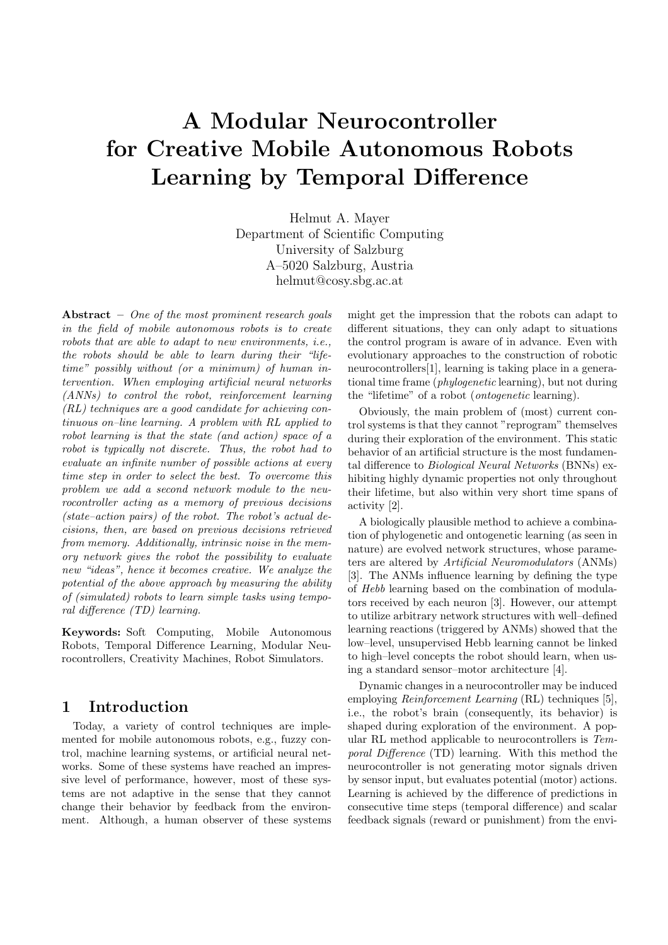# A Modular Neurocontroller for Creative Mobile Autonomous Robots Learning by Temporal Difference

Helmut A. Mayer Department of Scientific Computing University of Salzburg A–5020 Salzburg, Austria helmut@cosy.sbg.ac.at

Abstract  $-$  One of the most prominent research goals in the field of mobile autonomous robots is to create robots that are able to adapt to new environments, i.e., the robots should be able to learn during their "lifetime" possibly without (or a minimum) of human intervention. When employing artificial neural networks (ANNs) to control the robot, reinforcement learning (RL) techniques are a good candidate for achieving continuous on–line learning. A problem with RL applied to robot learning is that the state (and action) space of a robot is typically not discrete. Thus, the robot had to evaluate an infinite number of possible actions at every time step in order to select the best. To overcome this problem we add a second network module to the neurocontroller acting as a memory of previous decisions (state–action pairs) of the robot. The robot's actual decisions, then, are based on previous decisions retrieved from memory. Additionally, intrinsic noise in the memory network gives the robot the possibility to evaluate new "ideas", hence it becomes creative. We analyze the potential of the above approach by measuring the ability of (simulated) robots to learn simple tasks using temporal difference (TD) learning.

Keywords: Soft Computing, Mobile Autonomous Robots, Temporal Difference Learning, Modular Neurocontrollers, Creativity Machines, Robot Simulators.

# 1 Introduction

Today, a variety of control techniques are implemented for mobile autonomous robots, e.g., fuzzy control, machine learning systems, or artificial neural networks. Some of these systems have reached an impressive level of performance, however, most of these systems are not adaptive in the sense that they cannot change their behavior by feedback from the environment. Although, a human observer of these systems might get the impression that the robots can adapt to different situations, they can only adapt to situations the control program is aware of in advance. Even with evolutionary approaches to the construction of robotic neurocontrollers[1], learning is taking place in a generational time frame (phylogenetic learning), but not during the "lifetime" of a robot (ontogenetic learning).

Obviously, the main problem of (most) current control systems is that they cannot "reprogram" themselves during their exploration of the environment. This static behavior of an artificial structure is the most fundamental difference to Biological Neural Networks (BNNs) exhibiting highly dynamic properties not only throughout their lifetime, but also within very short time spans of activity [2].

A biologically plausible method to achieve a combination of phylogenetic and ontogenetic learning (as seen in nature) are evolved network structures, whose parameters are altered by Artificial Neuromodulators (ANMs) [3]. The ANMs influence learning by defining the type of Hebb learning based on the combination of modulators received by each neuron [3]. However, our attempt to utilize arbitrary network structures with well–defined learning reactions (triggered by ANMs) showed that the low–level, unsupervised Hebb learning cannot be linked to high–level concepts the robot should learn, when using a standard sensor–motor architecture [4].

Dynamic changes in a neurocontroller may be induced employing *Reinforcement Learning* (RL) techniques [5]. i.e., the robot's brain (consequently, its behavior) is shaped during exploration of the environment. A popular RL method applicable to neurocontrollers is Temporal Difference (TD) learning. With this method the neurocontroller is not generating motor signals driven by sensor input, but evaluates potential (motor) actions. Learning is achieved by the difference of predictions in consecutive time steps (temporal difference) and scalar feedback signals (reward or punishment) from the envi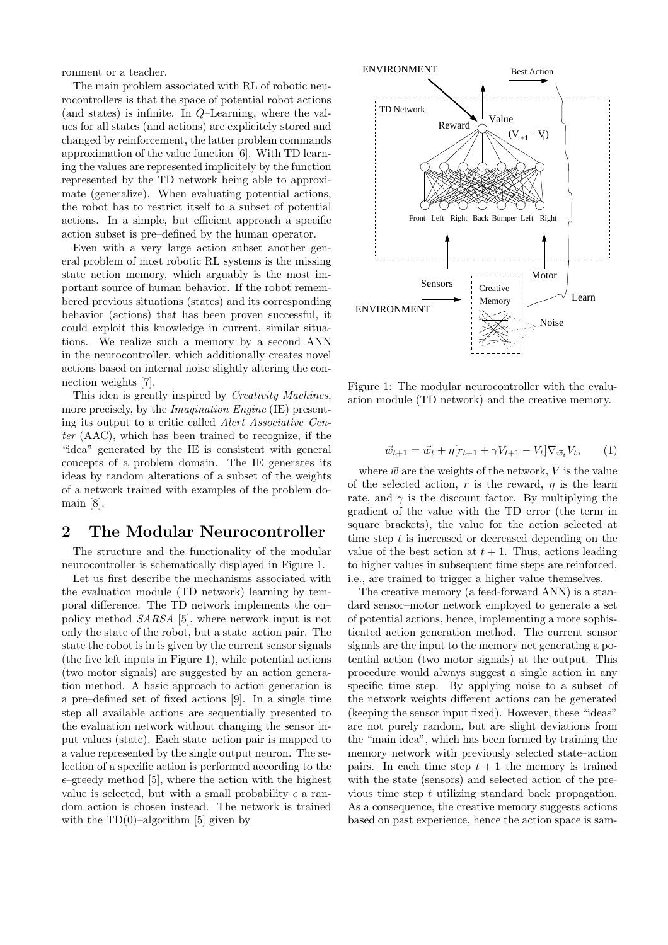ronment or a teacher.

The main problem associated with RL of robotic neurocontrollers is that the space of potential robot actions (and states) is infinite. In Q–Learning, where the values for all states (and actions) are explicitely stored and changed by reinforcement, the latter problem commands approximation of the value function [6]. With TD learning the values are represented implicitely by the function represented by the TD network being able to approximate (generalize). When evaluating potential actions, the robot has to restrict itself to a subset of potential actions. In a simple, but efficient approach a specific action subset is pre–defined by the human operator.

Even with a very large action subset another general problem of most robotic RL systems is the missing state–action memory, which arguably is the most important source of human behavior. If the robot remembered previous situations (states) and its corresponding behavior (actions) that has been proven successful, it could exploit this knowledge in current, similar situations. We realize such a memory by a second ANN in the neurocontroller, which additionally creates novel actions based on internal noise slightly altering the connection weights [7].

This idea is greatly inspired by Creativity Machines, more precisely, by the *Imagination Engine* (IE) presenting its output to a critic called Alert Associative Center (AAC), which has been trained to recognize, if the "idea" generated by the IE is consistent with general concepts of a problem domain. The IE generates its ideas by random alterations of a subset of the weights of a network trained with examples of the problem domain [8].

## 2 The Modular Neurocontroller

The structure and the functionality of the modular neurocontroller is schematically displayed in Figure 1.

Let us first describe the mechanisms associated with the evaluation module (TD network) learning by temporal difference. The TD network implements the on– policy method SARSA [5], where network input is not only the state of the robot, but a state–action pair. The state the robot is in is given by the current sensor signals (the five left inputs in Figure 1), while potential actions (two motor signals) are suggested by an action generation method. A basic approach to action generation is a pre–defined set of fixed actions [9]. In a single time step all available actions are sequentially presented to the evaluation network without changing the sensor input values (state). Each state–action pair is mapped to a value represented by the single output neuron. The selection of a specific action is performed according to the  $\epsilon$ –greedy method [5], where the action with the highest value is selected, but with a small probability  $\epsilon$  a random action is chosen instead. The network is trained with the  $TD(0)$ –algorithm [5] given by



Figure 1: The modular neurocontroller with the evaluation module (TD network) and the creative memory.

$$
\vec{w}_{t+1} = \vec{w}_t + \eta [r_{t+1} + \gamma V_{t+1} - V_t] \nabla_{\vec{w}_t} V_t, \qquad (1)
$$

where  $\vec{w}$  are the weights of the network, V is the value of the selected action, r is the reward,  $\eta$  is the learn rate, and  $\gamma$  is the discount factor. By multiplying the gradient of the value with the TD error (the term in square brackets), the value for the action selected at time step  $t$  is increased or decreased depending on the value of the best action at  $t + 1$ . Thus, actions leading to higher values in subsequent time steps are reinforced, i.e., are trained to trigger a higher value themselves.

The creative memory (a feed-forward ANN) is a standard sensor–motor network employed to generate a set of potential actions, hence, implementing a more sophisticated action generation method. The current sensor signals are the input to the memory net generating a potential action (two motor signals) at the output. This procedure would always suggest a single action in any specific time step. By applying noise to a subset of the network weights different actions can be generated (keeping the sensor input fixed). However, these "ideas" are not purely random, but are slight deviations from the "main idea", which has been formed by training the memory network with previously selected state–action pairs. In each time step  $t + 1$  the memory is trained with the state (sensors) and selected action of the previous time step t utilizing standard back–propagation. As a consequence, the creative memory suggests actions based on past experience, hence the action space is sam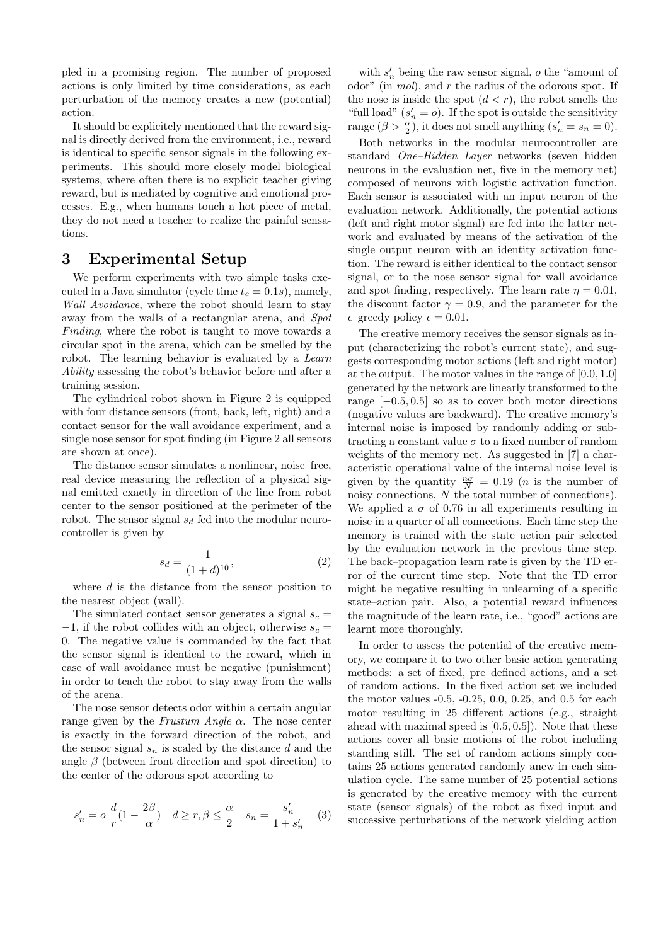pled in a promising region. The number of proposed actions is only limited by time considerations, as each perturbation of the memory creates a new (potential) action.

It should be explicitely mentioned that the reward signal is directly derived from the environment, i.e., reward is identical to specific sensor signals in the following experiments. This should more closely model biological systems, where often there is no explicit teacher giving reward, but is mediated by cognitive and emotional processes. E.g., when humans touch a hot piece of metal, they do not need a teacher to realize the painful sensations.

## 3 Experimental Setup

We perform experiments with two simple tasks executed in a Java simulator (cycle time  $t_c = 0.1s$ ), namely, Wall Avoidance, where the robot should learn to stay away from the walls of a rectangular arena, and Spot Finding, where the robot is taught to move towards a circular spot in the arena, which can be smelled by the robot. The learning behavior is evaluated by a Learn Ability assessing the robot's behavior before and after a training session.

The cylindrical robot shown in Figure 2 is equipped with four distance sensors (front, back, left, right) and a contact sensor for the wall avoidance experiment, and a single nose sensor for spot finding (in Figure 2 all sensors are shown at once).

The distance sensor simulates a nonlinear, noise–free, real device measuring the reflection of a physical signal emitted exactly in direction of the line from robot center to the sensor positioned at the perimeter of the robot. The sensor signal  $s_d$  fed into the modular neurocontroller is given by

$$
s_d = \frac{1}{(1+d)^{10}},\tag{2}
$$

where  $d$  is the distance from the sensor position to the nearest object (wall).

The simulated contact sensor generates a signal  $s_c =$  $-1$ , if the robot collides with an object, otherwise  $s_c =$ 0. The negative value is commanded by the fact that the sensor signal is identical to the reward, which in case of wall avoidance must be negative (punishment) in order to teach the robot to stay away from the walls of the arena.

The nose sensor detects odor within a certain angular range given by the Frustum Angle  $\alpha$ . The nose center is exactly in the forward direction of the robot, and the sensor signal  $s_n$  is scaled by the distance d and the angle  $\beta$  (between front direction and spot direction) to the center of the odorous spot according to

$$
s_n' = o\ \frac{d}{r}(1 - \frac{2\beta}{\alpha}) \quad d \ge r, \beta \le \frac{\alpha}{2} \quad s_n = \frac{s_n'}{1 + s_n'} \quad (3)
$$

with  $s_n'$  being the raw sensor signal,  $o$  the "amount of odor" (in  $mol$ ), and  $r$  the radius of the odorous spot. If the nose is inside the spot  $(d < r)$ , the robot smells the "full load"  $(s_n' = o)$ . If the spot is outside the sensitivity range  $(\beta > \frac{\alpha}{2})$ , it does not smell anything  $(s'_n = s_n = 0)$ .

Both networks in the modular neurocontroller are standard One–Hidden Layer networks (seven hidden neurons in the evaluation net, five in the memory net) composed of neurons with logistic activation function. Each sensor is associated with an input neuron of the evaluation network. Additionally, the potential actions (left and right motor signal) are fed into the latter network and evaluated by means of the activation of the single output neuron with an identity activation function. The reward is either identical to the contact sensor signal, or to the nose sensor signal for wall avoidance and spot finding, respectively. The learn rate  $\eta = 0.01$ , the discount factor  $\gamma = 0.9$ , and the parameter for the  $\epsilon$ –greedy policy  $\epsilon = 0.01$ .

The creative memory receives the sensor signals as input (characterizing the robot's current state), and suggests corresponding motor actions (left and right motor) at the output. The motor values in the range of [0.0, 1.0] generated by the network are linearly transformed to the range  $[-0.5, 0.5]$  so as to cover both motor directions (negative values are backward). The creative memory's internal noise is imposed by randomly adding or subtracting a constant value  $\sigma$  to a fixed number of random weights of the memory net. As suggested in [7] a characteristic operational value of the internal noise level is given by the quantity  $\frac{n\sigma}{N} = 0.19$  (*n* is the number of noisy connections, N the total number of connections). We applied a  $\sigma$  of 0.76 in all experiments resulting in noise in a quarter of all connections. Each time step the memory is trained with the state–action pair selected by the evaluation network in the previous time step. The back–propagation learn rate is given by the TD error of the current time step. Note that the TD error might be negative resulting in unlearning of a specific state–action pair. Also, a potential reward influences the magnitude of the learn rate, i.e., "good" actions are learnt more thoroughly.

In order to assess the potential of the creative memory, we compare it to two other basic action generating methods: a set of fixed, pre–defined actions, and a set of random actions. In the fixed action set we included the motor values -0.5, -0.25, 0.0, 0.25, and 0.5 for each motor resulting in 25 different actions (e.g., straight ahead with maximal speed is  $[0.5, 0.5]$ . Note that these actions cover all basic motions of the robot including standing still. The set of random actions simply contains 25 actions generated randomly anew in each simulation cycle. The same number of 25 potential actions is generated by the creative memory with the current state (sensor signals) of the robot as fixed input and successive perturbations of the network yielding action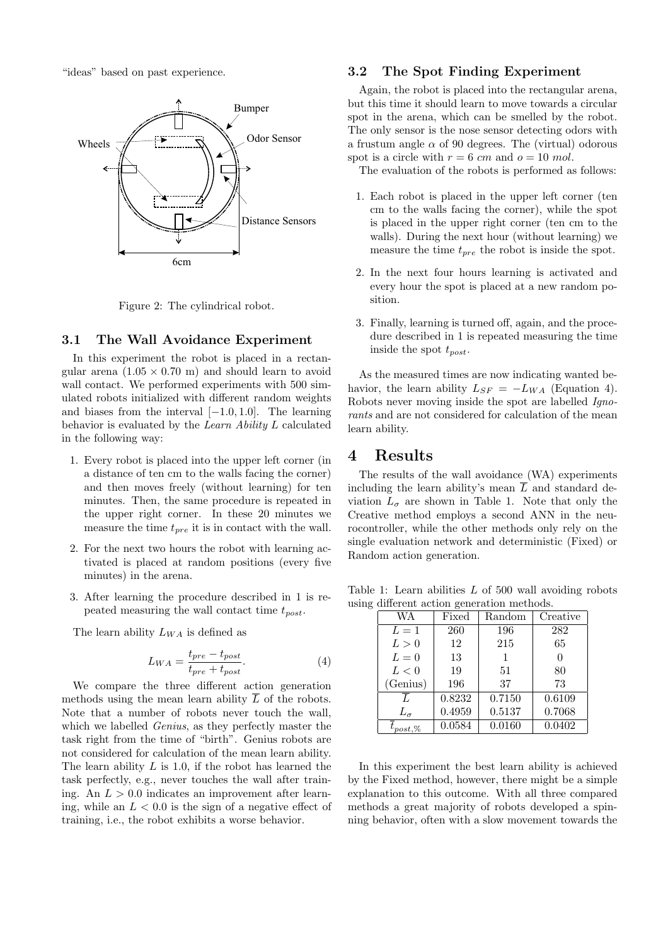"ideas" based on past experience.



Figure 2: The cylindrical robot.

#### 3.1 The Wall Avoidance Experiment

In this experiment the robot is placed in a rectangular arena  $(1.05 \times 0.70 \text{ m})$  and should learn to avoid wall contact. We performed experiments with 500 simulated robots initialized with different random weights and biases from the interval  $[-1.0, 1.0]$ . The learning behavior is evaluated by the Learn Ability L calculated in the following way:

- 1. Every robot is placed into the upper left corner (in a distance of ten cm to the walls facing the corner) and then moves freely (without learning) for ten minutes. Then, the same procedure is repeated in the upper right corner. In these 20 minutes we measure the time  $t_{pre}$  it is in contact with the wall.
- 2. For the next two hours the robot with learning activated is placed at random positions (every five minutes) in the arena.
- 3. After learning the procedure described in 1 is repeated measuring the wall contact time  $t_{post}$ .

The learn ability  $L_{WA}$  is defined as

$$
L_{WA} = \frac{t_{pre} - t_{post}}{t_{pre} + t_{post}}.\tag{4}
$$

We compare the three different action generation methods using the mean learn ability  $\overline{L}$  of the robots. Note that a number of robots never touch the wall, which we labelled *Genius*, as they perfectly master the task right from the time of "birth". Genius robots are not considered for calculation of the mean learn ability. The learn ability  $L$  is 1.0, if the robot has learned the task perfectly, e.g., never touches the wall after training. An  $L > 0.0$  indicates an improvement after learning, while an  $L < 0.0$  is the sign of a negative effect of training, i.e., the robot exhibits a worse behavior.

#### 3.2 The Spot Finding Experiment

Again, the robot is placed into the rectangular arena, but this time it should learn to move towards a circular spot in the arena, which can be smelled by the robot. The only sensor is the nose sensor detecting odors with a frustum angle  $\alpha$  of 90 degrees. The (virtual) odorous spot is a circle with  $r = 6$  cm and  $o = 10$  mol.

The evaluation of the robots is performed as follows:

- 1. Each robot is placed in the upper left corner (ten cm to the walls facing the corner), while the spot is placed in the upper right corner (ten cm to the walls). During the next hour (without learning) we measure the time  $t_{pre}$  the robot is inside the spot.
- 2. In the next four hours learning is activated and every hour the spot is placed at a new random position.
- 3. Finally, learning is turned off, again, and the procedure described in 1 is repeated measuring the time inside the spot  $t_{post}$ .

As the measured times are now indicating wanted behavior, the learn ability  $L_{SF} = -L_{WA}$  (Equation 4). Robots never moving inside the spot are labelled Ignorants and are not considered for calculation of the mean learn ability.

### 4 Results

The results of the wall avoidance (WA) experiments including the learn ability's mean  $\overline{L}$  and standard deviation  $L_{\sigma}$  are shown in Table 1. Note that only the Creative method employs a second ANN in the neurocontroller, while the other methods only rely on the single evaluation network and deterministic (Fixed) or Random action generation.

Table 1: Learn abilities  $L$  of 500 wall avoiding robots using different action generation methods.

| WA                 | Fixed  | Random | Creative |  |  |
|--------------------|--------|--------|----------|--|--|
| $L=1$              | 260    | 196    | 282      |  |  |
| L>0                | 12     | 215    | 65       |  |  |
| $L=0$              | 13     | 1      |          |  |  |
| L < 0              | 19     | 51     | 80       |  |  |
| (Genius)           | 196    | 37     | 73       |  |  |
|                    | 0.8232 | 0.7150 | 0.6109   |  |  |
| $L_{\sigma}$       | 0.4959 | 0.5137 | 0.7068   |  |  |
| $\iota_{post, \%}$ | 0.0584 | 0.0160 | 0.0402   |  |  |

In this experiment the best learn ability is achieved by the Fixed method, however, there might be a simple explanation to this outcome. With all three compared methods a great majority of robots developed a spinning behavior, often with a slow movement towards the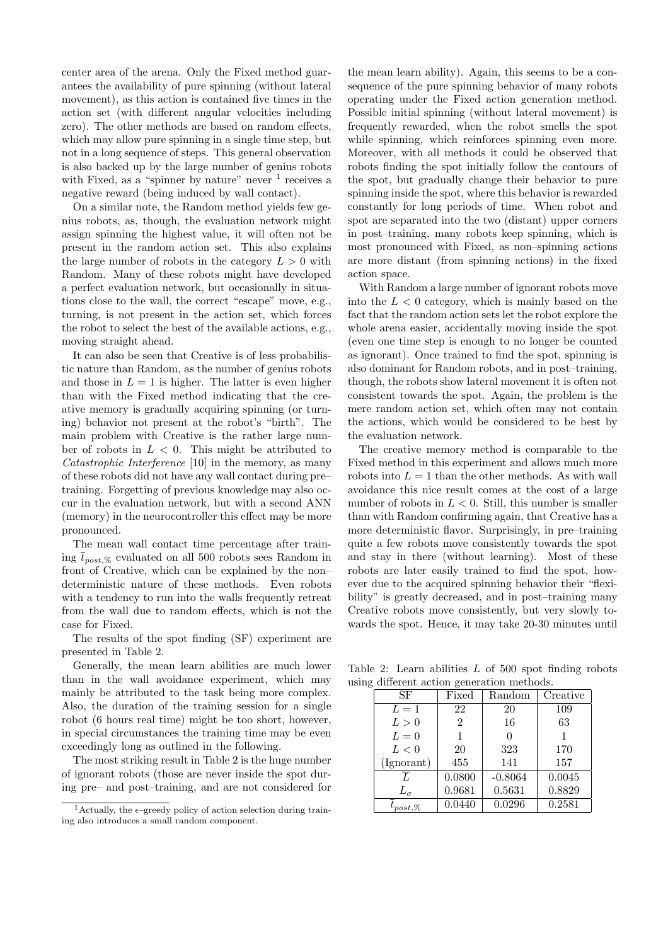center area of the arena. Only the Fixed method guarantees the availability of pure spinning (without lateral movement), as this action is contained five times in the action set (with different angular velocities including zero). The other methods are based on random effects, which may allow pure spinning in a single time step, but not in a long sequence of steps. This general observation is also backed up by the large number of genius robots with Fixed, as a "spinner by nature" never  $1$  receives a negative reward (being induced by wall contact).

On a similar note, the Random method yields few genius robots, as, though, the evaluation network might assign spinning the highest value, it will often not be present in the random action set. This also explains the large number of robots in the category  $L > 0$  with Random. Many of these robots might have developed a perfect evaluation network, but occasionally in situations close to the wall, the correct "escape" move, e.g., turning, is not present in the action set, which forces the robot to select the best of the available actions, e.g., moving straight ahead.

It can also be seen that Creative is of less probabilistic nature than Random, as the number of genius robots and those in  $L = 1$  is higher. The latter is even higher than with the Fixed method indicating that the creative memory is gradually acquiring spinning (or turning) behavior not present at the robot's "birth". The main problem with Creative is the rather large number of robots in  $L < 0$ . This might be attributed to Catastrophic Interference [10] in the memory, as many of these robots did not have any wall contact during pre– training. Forgetting of previous knowledge may also occur in the evaluation network, but with a second ANN (memory) in the neurocontroller this effect may be more pronounced.

The mean wall contact time percentage after training  $\overline{t}_{post, \%}$  evaluated on all 500 robots sees Random in front of Creative, which can be explained by the non– deterministic nature of these methods. Even robots with a tendency to run into the walls frequently retreat from the wall due to random effects, which is not the case for Fixed.

The results of the spot finding (SF) experiment are presented in Table 2.

Generally, the mean learn abilities are much lower than in the wall avoidance experiment, which may mainly be attributed to the task being more complex. Also, the duration of the training session for a single robot (6 hours real time) might be too short, however, in special circumstances the training time may be even exceedingly long as outlined in the following.

The most striking result in Table 2 is the huge number of ignorant robots (those are never inside the spot during pre– and post–training, and are not considered for the mean learn ability). Again, this seems to be a consequence of the pure spinning behavior of many robots operating under the Fixed action generation method. Possible initial spinning (without lateral movement) is frequently rewarded, when the robot smells the spot while spinning, which reinforces spinning even more. Moreover, with all methods it could be observed that robots finding the spot initially follow the contours of the spot, but gradually change their behavior to pure spinning inside the spot, where this behavior is rewarded constantly for long periods of time. When robot and spot are separated into the two (distant) upper corners in post–training, many robots keep spinning, which is most pronounced with Fixed, as non–spinning actions are more distant (from spinning actions) in the fixed action space.

With Random a large number of ignorant robots move into the  $L < 0$  category, which is mainly based on the fact that the random action sets let the robot explore the whole arena easier, accidentally moving inside the spot (even one time step is enough to no longer be counted as ignorant). Once trained to find the spot, spinning is also dominant for Random robots, and in post–training, though, the robots show lateral movement it is often not consistent towards the spot. Again, the problem is the mere random action set, which often may not contain the actions, which would be considered to be best by the evaluation network.

The creative memory method is comparable to the Fixed method in this experiment and allows much more robots into  $L = 1$  than the other methods. As with wall avoidance this nice result comes at the cost of a large number of robots in  $L < 0$ . Still, this number is smaller than with Random confirming again, that Creative has a more deterministic flavor. Surprisingly, in pre–training quite a few robots move consistently towards the spot and stay in there (without learning). Most of these robots are later easily trained to find the spot, however due to the acquired spinning behavior their "flexibility" is greatly decreased, and in post–training many Creative robots move consistently, but very slowly towards the spot. Hence, it may take 20-30 minutes until

Table 2: Learn abilities  $L$  of 500 spot finding robots using different action generation methods.

| SF            | Fixed          | Random    | Creative |
|---------------|----------------|-----------|----------|
| $L=1$         | 22             | 20        | 109      |
| L>0           | $\overline{2}$ | 16        | 63       |
| $L=0$         | 1              |           |          |
| L < 0         | 20             | 323       | 170      |
| (Ignorant)    | 455            | 141       | 157      |
| L             | 0.0800         | $-0.8064$ | 0.0045   |
| $L_{\sigma}$  | 0.9681         | 0.5631    | 0.8829   |
| $t_{post,\%}$ | 0.0440         | 0.0296    | 0.2581   |

<sup>&</sup>lt;sup>1</sup> Actually, the  $\epsilon$ –greedy policy of action selection during training also introduces a small random component.